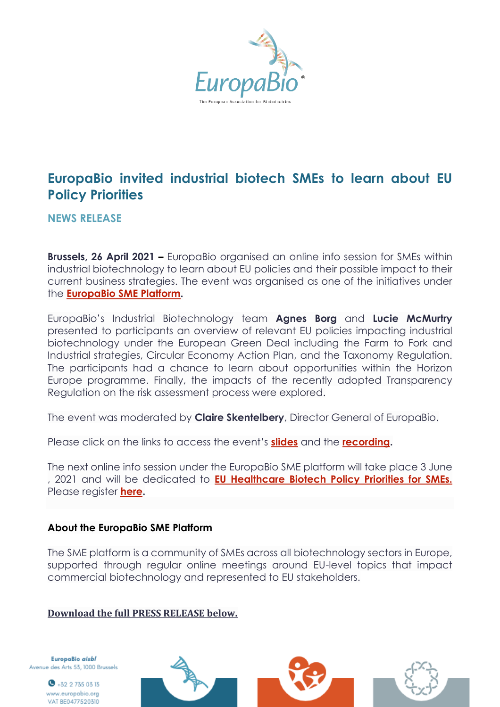

# **EuropaBio invited industrial biotech SMEs to learn about EU Policy Priorities**

## **NEWS RELEASE**

**Brussels, 26 April 2021 –** EuropaBio organised an online info session for SMEs within industrial biotechnology to learn about EU policies and their possible impact to their current business strategies. The event was organised as one of the initiatives under the **[EuropaBio SME Platform.](https://www.europabio.org/sme-platform/)**

EuropaBio's Industrial Biotechnology team **Agnes Borg** and **Lucie McMurtry**  presented to participants an overview of relevant EU policies impacting industrial biotechnology under the European Green Deal including the Farm to Fork and Industrial strategies, Circular Economy Action Plan, and the Taxonomy Regulation. The participants had a chance to learn about opportunities within the Horizon Europe programme. Finally, the impacts of the recently adopted Transparency Regulation on the risk assessment process were explored.

The event was moderated by **Claire Skentelbery**, Director General of EuropaBio.

Please click on the links to access the event's **[slides](file://///SERVER01/Users/d.sandaraite/Desktop/Slides_final.pdf)** and the **[recording.](https://www.youtube.com/watch?v=sUtX5SvD0Nw&t=8s)**

The next online info session under the EuropaBio SME platform will take place 3 June , 2021 and will be dedicated to **[EU Healthcare Biotech Policy Priorities for SMEs.](https://www.europabio.org/event/eu-healthcare-biotech-policy-priorities-for-smes/)** Please register **[here.](https://europa-bio.webex.com/mw3300/mywebex/default.do?nomenu=true&siteurl=europa-bio&service=6&rnd=0.957125224302228&main_url=https%3A%2F%2Feuropa-bio.webex.com%2Fec3300%2Feventcenter%2Fevent%2FeventAction.do%3FtheAction%3Ddetail%26%26%26EMK%3D4832534b000000043884b9bf6909cf2015359b425f36e4d3eea27c04b2da02b707c9fd2d7a91df11%26siteurl%3Deuropa-bio%26confViewID%3D188308845847645095%26encryptTicket%3DSDJTSwAAAARXhL8wquaUlsjr6TbrDPwaEncuuxCbtGapD6JesgyKjw2%26)**

## **About the EuropaBio SME Platform**

The SME platform is a community of SMEs across all biotechnology sectors in Europe, supported through regular online meetings around EU-level topics that impact commercial biotechnology and represented to EU stakeholders.

## **Download the full PRESS RELEASE below.**

EuropaBio aisbl Avenue des Arts 53, 1000 Brussels VAT BE0477520310

 $\bullet$  +32 2 735 03 13 www.europabio.org